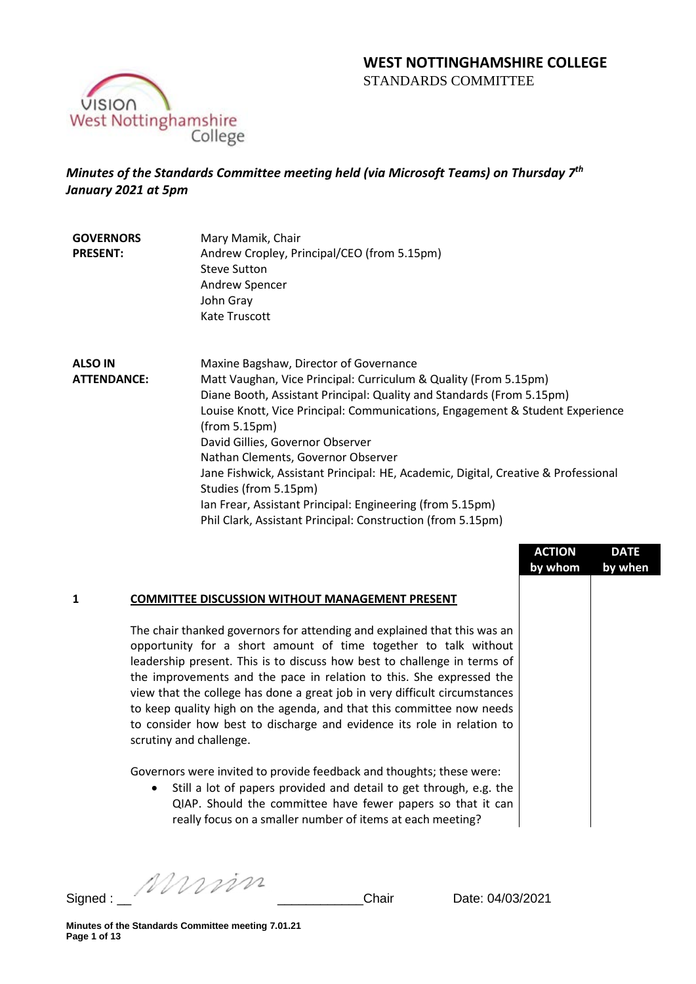# **WEST NOTTINGHAMSHIRE COLLEGE**  STANDARDS COMMITTEE



# *Minutes of the Standards Committee meeting held (via Microsoft Teams) on Thursday 7th January 2021 at 5pm*

| <b>GOVERNORS</b> | Mary Mamik, Chair                           |
|------------------|---------------------------------------------|
| <b>PRESENT:</b>  | Andrew Cropley, Principal/CEO (from 5.15pm) |
|                  | <b>Steve Sutton</b>                         |
|                  | Andrew Spencer                              |
|                  | John Gray                                   |
|                  | Kate Truscott                               |

**ALSO IN ATTENDANCE:** Maxine Bagshaw, Director of Governance Matt Vaughan, Vice Principal: Curriculum & Quality (From 5.15pm) Diane Booth, Assistant Principal: Quality and Standards (From 5.15pm) Louise Knott, Vice Principal: Communications, Engagement & Student Experience (from 5.15pm) David Gillies, Governor Observer Nathan Clements, Governor Observer Jane Fishwick, Assistant Principal: HE, Academic, Digital, Creative & Professional Studies (from 5.15pm) Ian Frear, Assistant Principal: Engineering (from 5.15pm) Phil Clark, Assistant Principal: Construction (from 5.15pm)

|   |                                                                                                                                                                                                                                                                                                                                                                                                                                                                                                                                                             | <b>ACTION</b><br>by whom | <b>DATE</b><br>by when |
|---|-------------------------------------------------------------------------------------------------------------------------------------------------------------------------------------------------------------------------------------------------------------------------------------------------------------------------------------------------------------------------------------------------------------------------------------------------------------------------------------------------------------------------------------------------------------|--------------------------|------------------------|
| 1 | <b>COMMITTEE DISCUSSION WITHOUT MANAGEMENT PRESENT</b>                                                                                                                                                                                                                                                                                                                                                                                                                                                                                                      |                          |                        |
|   | The chair thanked governors for attending and explained that this was an<br>opportunity for a short amount of time together to talk without<br>leadership present. This is to discuss how best to challenge in terms of<br>the improvements and the pace in relation to this. She expressed the<br>view that the college has done a great job in very difficult circumstances<br>to keep quality high on the agenda, and that this committee now needs<br>to consider how best to discharge and evidence its role in relation to<br>scrutiny and challenge. |                          |                        |
|   | Governors were invited to provide feedback and thoughts; these were:<br>Still a lot of papers provided and detail to get through, e.g. the<br>$\bullet$<br>QIAP. Should the committee have fewer papers so that it can<br>really focus on a smaller number of items at each meeting?                                                                                                                                                                                                                                                                        |                          |                        |

Signed : \_\_ \_\_\_\_\_\_\_\_\_\_\_\_Chair Date: 04/03/2021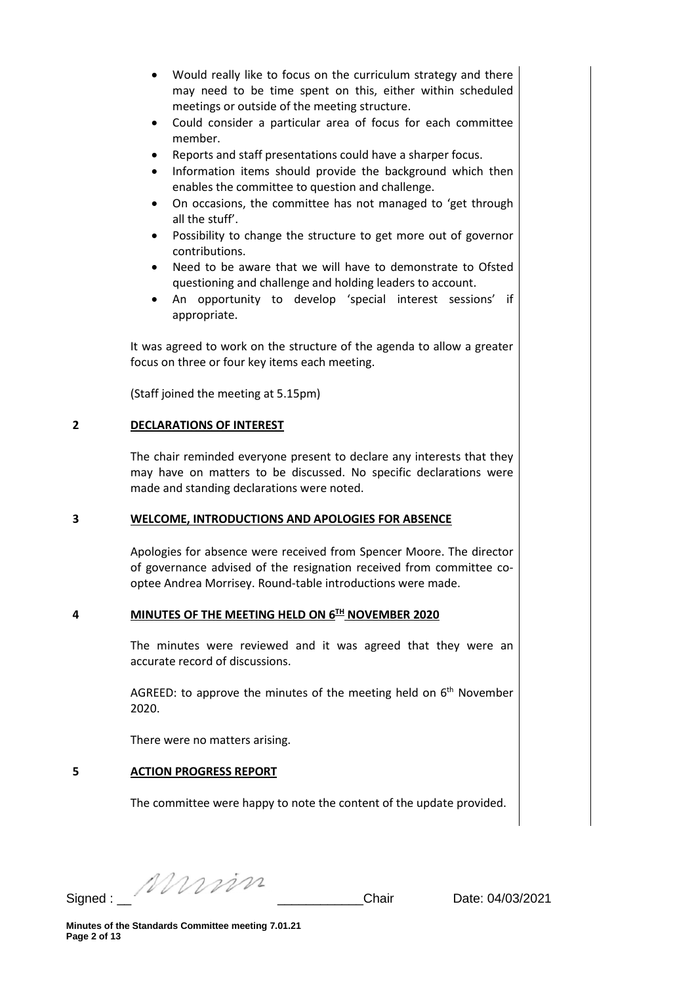- Would really like to focus on the curriculum strategy and there may need to be time spent on this, either within scheduled meetings or outside of the meeting structure.
- Could consider a particular area of focus for each committee member.
- Reports and staff presentations could have a sharper focus.
- Information items should provide the background which then enables the committee to question and challenge.
- On occasions, the committee has not managed to 'get through all the stuff'.
- Possibility to change the structure to get more out of governor contributions.
- Need to be aware that we will have to demonstrate to Ofsted questioning and challenge and holding leaders to account.
- An opportunity to develop 'special interest sessions' if appropriate.

It was agreed to work on the structure of the agenda to allow a greater focus on three or four key items each meeting.

(Staff joined the meeting at 5.15pm)

## **2 DECLARATIONS OF INTEREST**

The chair reminded everyone present to declare any interests that they may have on matters to be discussed. No specific declarations were made and standing declarations were noted.

### **3 WELCOME, INTRODUCTIONS AND APOLOGIES FOR ABSENCE**

Apologies for absence were received from Spencer Moore. The director of governance advised of the resignation received from committee cooptee Andrea Morrisey. Round-table introductions were made.

# **4 MINUTES OF THE MEETING HELD ON 6TH NOVEMBER 2020**

The minutes were reviewed and it was agreed that they were an accurate record of discussions.

AGREED: to approve the minutes of the meeting held on  $6<sup>th</sup>$  November 2020.

There were no matters arising.

# **5 ACTION PROGRESS REPORT**

The committee were happy to note the content of the update provided.

Signed : \_\_ \_\_\_\_\_\_\_\_\_\_\_\_Chair Date: 04/03/2021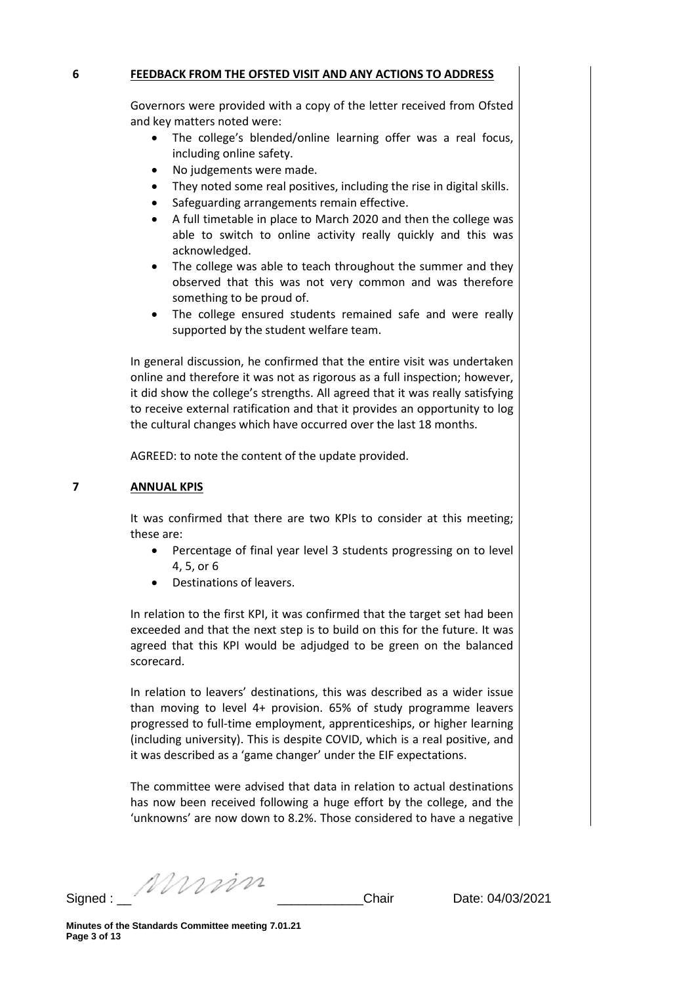#### **6 FEEDBACK FROM THE OFSTED VISIT AND ANY ACTIONS TO ADDRESS**

Governors were provided with a copy of the letter received from Ofsted and key matters noted were:

- The college's blended/online learning offer was a real focus, including online safety.
- No judgements were made.
- They noted some real positives, including the rise in digital skills.
- Safeguarding arrangements remain effective.
- A full timetable in place to March 2020 and then the college was able to switch to online activity really quickly and this was acknowledged.
- The college was able to teach throughout the summer and they observed that this was not very common and was therefore something to be proud of.
- The college ensured students remained safe and were really supported by the student welfare team.

In general discussion, he confirmed that the entire visit was undertaken online and therefore it was not as rigorous as a full inspection; however, it did show the college's strengths. All agreed that it was really satisfying to receive external ratification and that it provides an opportunity to log the cultural changes which have occurred over the last 18 months.

AGREED: to note the content of the update provided.

#### **7 ANNUAL KPIS**

It was confirmed that there are two KPIs to consider at this meeting; these are:

- Percentage of final year level 3 students progressing on to level 4, 5, or 6
- Destinations of leavers.

In relation to the first KPI, it was confirmed that the target set had been exceeded and that the next step is to build on this for the future. It was agreed that this KPI would be adjudged to be green on the balanced scorecard.

In relation to leavers' destinations, this was described as a wider issue than moving to level 4+ provision. 65% of study programme leavers progressed to full-time employment, apprenticeships, or higher learning (including university). This is despite COVID, which is a real positive, and it was described as a 'game changer' under the EIF expectations.

The committee were advised that data in relation to actual destinations has now been received following a huge effort by the college, and the 'unknowns' are now down to 8.2%. Those considered to have a negative

Signed : \_\_ \_\_\_\_\_\_\_\_\_\_\_\_Chair Date: 04/03/2021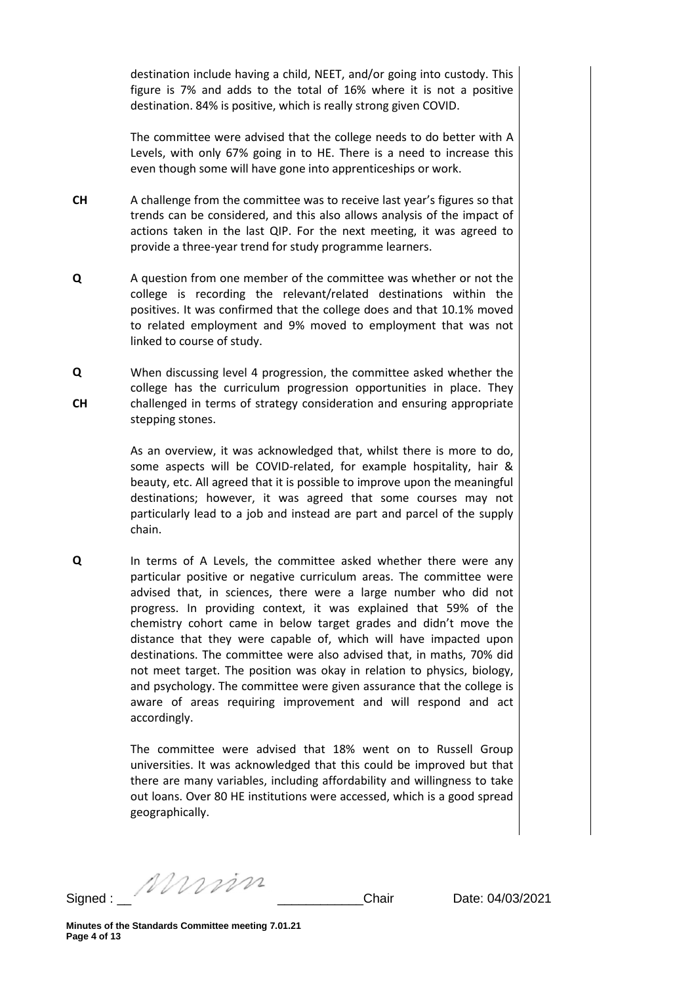destination include having a child, NEET, and/or going into custody. This figure is 7% and adds to the total of 16% where it is not a positive destination. 84% is positive, which is really strong given COVID.

The committee were advised that the college needs to do better with A Levels, with only 67% going in to HE. There is a need to increase this even though some will have gone into apprenticeships or work.

- **CH** A challenge from the committee was to receive last year's figures so that trends can be considered, and this also allows analysis of the impact of actions taken in the last QIP. For the next meeting, it was agreed to provide a three-year trend for study programme learners.
- **Q** A question from one member of the committee was whether or not the college is recording the relevant/related destinations within the positives. It was confirmed that the college does and that 10.1% moved to related employment and 9% moved to employment that was not linked to course of study.
- **Q CH** When discussing level 4 progression, the committee asked whether the college has the curriculum progression opportunities in place. They challenged in terms of strategy consideration and ensuring appropriate stepping stones.

As an overview, it was acknowledged that, whilst there is more to do, some aspects will be COVID-related, for example hospitality, hair & beauty, etc. All agreed that it is possible to improve upon the meaningful destinations; however, it was agreed that some courses may not particularly lead to a job and instead are part and parcel of the supply chain.

**Q** In terms of A Levels, the committee asked whether there were any particular positive or negative curriculum areas. The committee were advised that, in sciences, there were a large number who did not progress. In providing context, it was explained that 59% of the chemistry cohort came in below target grades and didn't move the distance that they were capable of, which will have impacted upon destinations. The committee were also advised that, in maths, 70% did not meet target. The position was okay in relation to physics, biology, and psychology. The committee were given assurance that the college is aware of areas requiring improvement and will respond and act accordingly.

> The committee were advised that 18% went on to Russell Group universities. It was acknowledged that this could be improved but that there are many variables, including affordability and willingness to take out loans. Over 80 HE institutions were accessed, which is a good spread geographically.

Signed : \_\_ \_\_\_\_\_\_\_\_\_\_\_\_Chair Date: 04/03/2021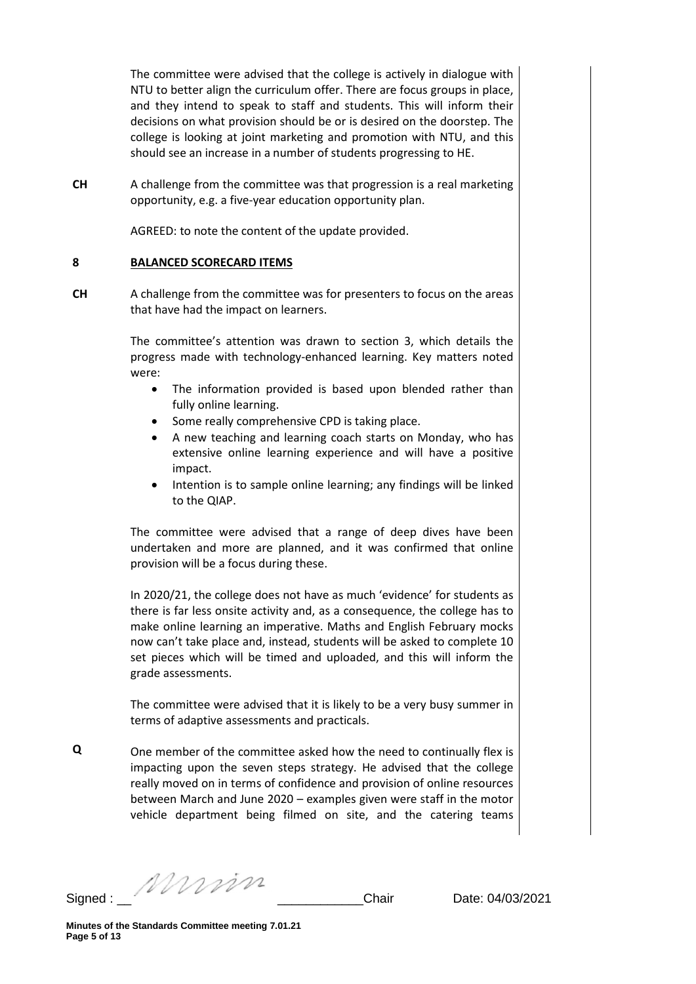The committee were advised that the college is actively in dialogue with NTU to better align the curriculum offer. There are focus groups in place, and they intend to speak to staff and students. This will inform their decisions on what provision should be or is desired on the doorstep. The college is looking at joint marketing and promotion with NTU, and this should see an increase in a number of students progressing to HE.

**CH** A challenge from the committee was that progression is a real marketing opportunity, e.g. a five-year education opportunity plan.

AGREED: to note the content of the update provided.

#### **8 BALANCED SCORECARD ITEMS**

**CH** A challenge from the committee was for presenters to focus on the areas that have had the impact on learners.

> The committee's attention was drawn to section 3, which details the progress made with technology-enhanced learning. Key matters noted were:

- The information provided is based upon blended rather than fully online learning.
- Some really comprehensive CPD is taking place.
- A new teaching and learning coach starts on Monday, who has extensive online learning experience and will have a positive impact.
- Intention is to sample online learning; any findings will be linked to the QIAP.

The committee were advised that a range of deep dives have been undertaken and more are planned, and it was confirmed that online provision will be a focus during these.

In 2020/21, the college does not have as much 'evidence' for students as there is far less onsite activity and, as a consequence, the college has to make online learning an imperative. Maths and English February mocks now can't take place and, instead, students will be asked to complete 10 set pieces which will be timed and uploaded, and this will inform the grade assessments.

The committee were advised that it is likely to be a very busy summer in terms of adaptive assessments and practicals.

**Q** One member of the committee asked how the need to continually flex is impacting upon the seven steps strategy. He advised that the college really moved on in terms of confidence and provision of online resources between March and June 2020 – examples given were staff in the motor vehicle department being filmed on site, and the catering teams

Signed : \_\_ \_\_\_\_\_\_\_\_\_\_\_\_Chair Date: 04/03/2021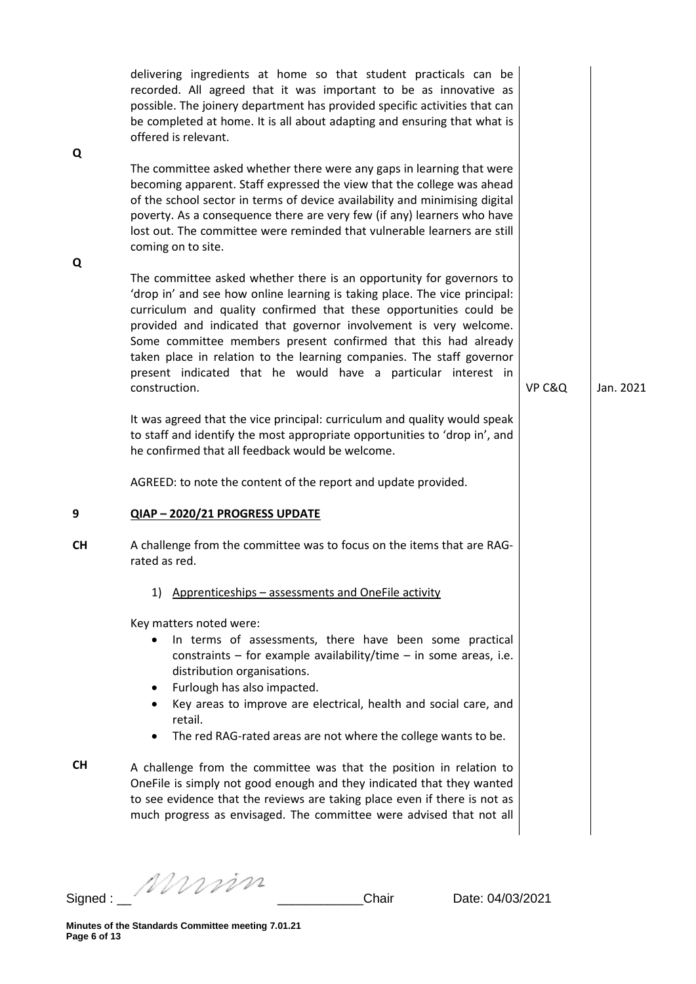| Q         | delivering ingredients at home so that student practicals can be<br>recorded. All agreed that it was important to be as innovative as<br>possible. The joinery department has provided specific activities that can<br>be completed at home. It is all about adapting and ensuring that what is<br>offered is relevant.                                                                                                                                                                                                    |        |           |
|-----------|----------------------------------------------------------------------------------------------------------------------------------------------------------------------------------------------------------------------------------------------------------------------------------------------------------------------------------------------------------------------------------------------------------------------------------------------------------------------------------------------------------------------------|--------|-----------|
| Q         | The committee asked whether there were any gaps in learning that were<br>becoming apparent. Staff expressed the view that the college was ahead<br>of the school sector in terms of device availability and minimising digital<br>poverty. As a consequence there are very few (if any) learners who have<br>lost out. The committee were reminded that vulnerable learners are still<br>coming on to site.                                                                                                                |        |           |
|           | The committee asked whether there is an opportunity for governors to<br>'drop in' and see how online learning is taking place. The vice principal:<br>curriculum and quality confirmed that these opportunities could be<br>provided and indicated that governor involvement is very welcome.<br>Some committee members present confirmed that this had already<br>taken place in relation to the learning companies. The staff governor<br>present indicated that he would have a particular interest in<br>construction. | VP C&Q | Jan. 2021 |
|           | It was agreed that the vice principal: curriculum and quality would speak<br>to staff and identify the most appropriate opportunities to 'drop in', and<br>he confirmed that all feedback would be welcome.<br>AGREED: to note the content of the report and update provided.                                                                                                                                                                                                                                              |        |           |
| 9         | QIAP-2020/21 PROGRESS UPDATE                                                                                                                                                                                                                                                                                                                                                                                                                                                                                               |        |           |
| <b>CH</b> | A challenge from the committee was to focus on the items that are RAG-<br>rated as red.                                                                                                                                                                                                                                                                                                                                                                                                                                    |        |           |
|           | 1) Apprenticeships - assessments and OneFile activity                                                                                                                                                                                                                                                                                                                                                                                                                                                                      |        |           |
|           | Key matters noted were:<br>In terms of assessments, there have been some practical<br>constraints $-$ for example availability/time $-$ in some areas, i.e.<br>distribution organisations.<br>Furlough has also impacted.<br>٠<br>Key areas to improve are electrical, health and social care, and<br>retail.<br>The red RAG-rated areas are not where the college wants to be.                                                                                                                                            |        |           |
| <b>CH</b> | A challenge from the committee was that the position in relation to<br>OneFile is simply not good enough and they indicated that they wanted<br>to see evidence that the reviews are taking place even if there is not as<br>much progress as envisaged. The committee were advised that not all                                                                                                                                                                                                                           |        |           |

Signed : \_\_ \_\_\_\_\_\_\_\_\_\_\_\_Chair Date: 04/03/2021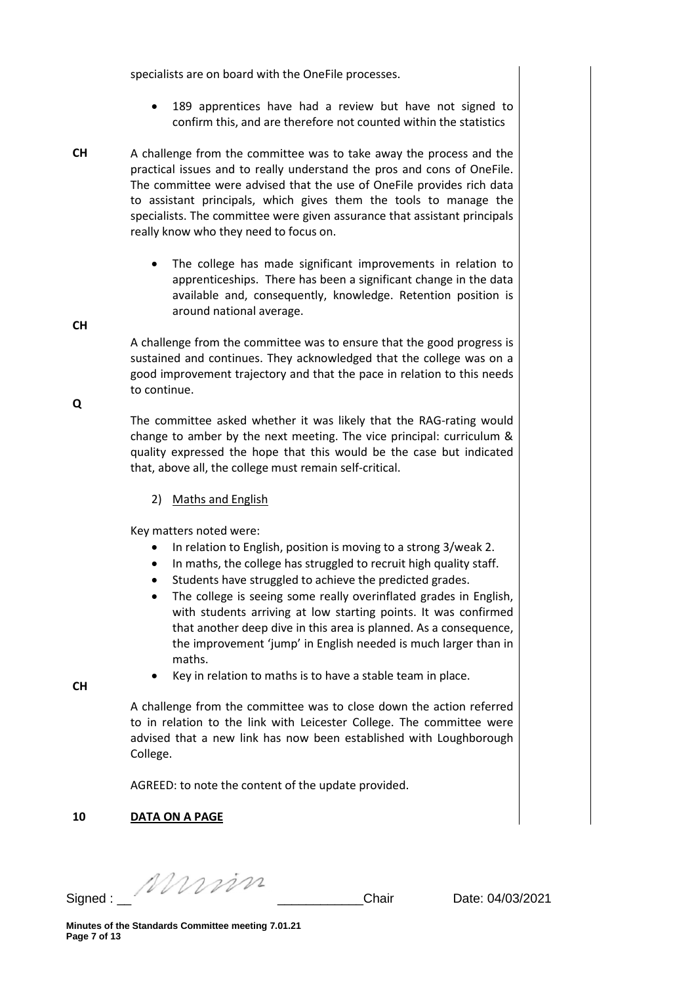specialists are on board with the OneFile processes.

- 189 apprentices have had a review but have not signed to confirm this, and are therefore not counted within the statistics
- **CH** A challenge from the committee was to take away the process and the practical issues and to really understand the pros and cons of OneFile. The committee were advised that the use of OneFile provides rich data to assistant principals, which gives them the tools to manage the specialists. The committee were given assurance that assistant principals really know who they need to focus on.
	- The college has made significant improvements in relation to apprenticeships. There has been a significant change in the data available and, consequently, knowledge. Retention position is around national average.

A challenge from the committee was to ensure that the good progress is sustained and continues. They acknowledged that the college was on a good improvement trajectory and that the pace in relation to this needs to continue.

The committee asked whether it was likely that the RAG-rating would change to amber by the next meeting. The vice principal: curriculum & quality expressed the hope that this would be the case but indicated that, above all, the college must remain self-critical.

2) Maths and English

Key matters noted were:

- In relation to English, position is moving to a strong 3/weak 2.
- In maths, the college has struggled to recruit high quality staff.
- Students have struggled to achieve the predicted grades.
- The college is seeing some really overinflated grades in English, with students arriving at low starting points. It was confirmed that another deep dive in this area is planned. As a consequence, the improvement 'jump' in English needed is much larger than in maths.

**CH**

Key in relation to maths is to have a stable team in place.

A challenge from the committee was to close down the action referred to in relation to the link with Leicester College. The committee were advised that a new link has now been established with Loughborough College.

AGREED: to note the content of the update provided.

# **10 DATA ON A PAGE**

Signed : \_\_ \_\_\_\_\_\_\_\_\_\_\_\_Chair Date: 04/03/2021

**CH**

**Q**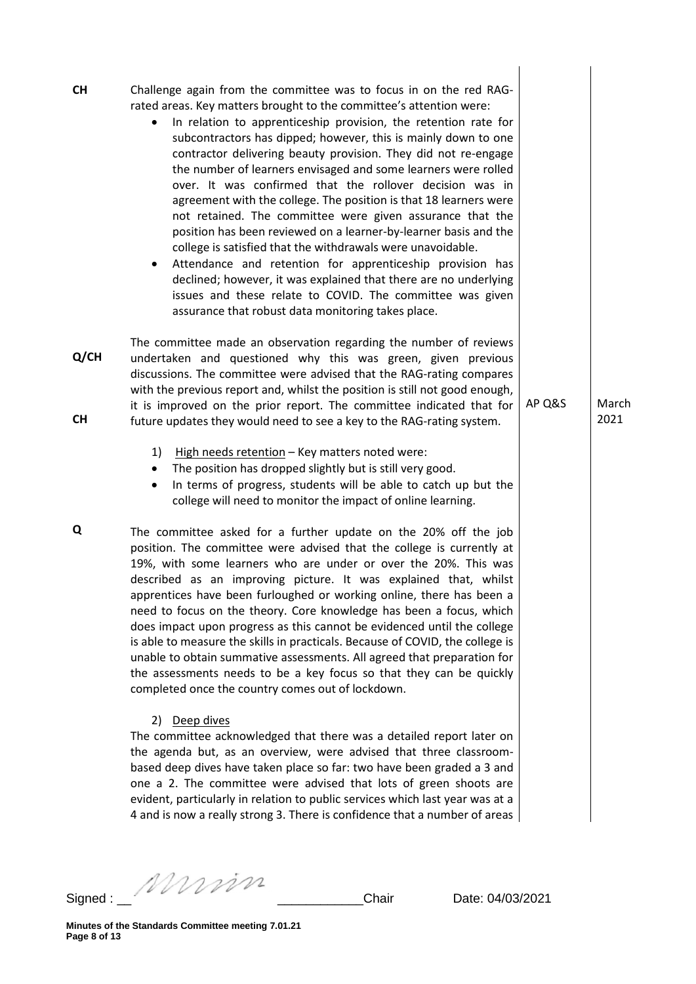| <b>CH</b>         | Challenge again from the committee was to focus in on the red RAG-<br>rated areas. Key matters brought to the committee's attention were:<br>In relation to apprenticeship provision, the retention rate for<br>٠<br>subcontractors has dipped; however, this is mainly down to one<br>contractor delivering beauty provision. They did not re-engage<br>the number of learners envisaged and some learners were rolled<br>over. It was confirmed that the rollover decision was in<br>agreement with the college. The position is that 18 learners were<br>not retained. The committee were given assurance that the<br>position has been reviewed on a learner-by-learner basis and the<br>college is satisfied that the withdrawals were unavoidable.<br>Attendance and retention for apprenticeship provision has<br>٠<br>declined; however, it was explained that there are no underlying<br>issues and these relate to COVID. The committee was given<br>assurance that robust data monitoring takes place. |        |               |
|-------------------|-------------------------------------------------------------------------------------------------------------------------------------------------------------------------------------------------------------------------------------------------------------------------------------------------------------------------------------------------------------------------------------------------------------------------------------------------------------------------------------------------------------------------------------------------------------------------------------------------------------------------------------------------------------------------------------------------------------------------------------------------------------------------------------------------------------------------------------------------------------------------------------------------------------------------------------------------------------------------------------------------------------------|--------|---------------|
| Q/CH<br><b>CH</b> | The committee made an observation regarding the number of reviews<br>undertaken and questioned why this was green, given previous<br>discussions. The committee were advised that the RAG-rating compares<br>with the previous report and, whilst the position is still not good enough,<br>it is improved on the prior report. The committee indicated that for<br>future updates they would need to see a key to the RAG-rating system.                                                                                                                                                                                                                                                                                                                                                                                                                                                                                                                                                                         | AP Q&S | March<br>2021 |
|                   | 1)<br>High needs retention - Key matters noted were:<br>The position has dropped slightly but is still very good.<br>In terms of progress, students will be able to catch up but the<br>٠<br>college will need to monitor the impact of online learning.                                                                                                                                                                                                                                                                                                                                                                                                                                                                                                                                                                                                                                                                                                                                                          |        |               |
| Q                 | The committee asked for a further update on the 20% off the job<br>position. The committee were advised that the college is currently at<br>19%, with some learners who are under or over the 20%. This was<br>described as an improving picture. It was explained that, whilst<br>apprentices have been furloughed or working online, there has been a<br>need to focus on the theory. Core knowledge has been a focus, which<br>does impact upon progress as this cannot be evidenced until the college<br>is able to measure the skills in practicals. Because of COVID, the college is<br>unable to obtain summative assessments. All agreed that preparation for<br>the assessments needs to be a key focus so that they can be quickly<br>completed once the country comes out of lockdown.<br>2) Deep dives                                                                                                                                                                                                |        |               |
|                   | The committee acknowledged that there was a detailed report later on<br>the agenda but, as an overview, were advised that three classroom-<br>based deep dives have taken place so far: two have been graded a 3 and<br>one a 2. The committee were advised that lots of green shoots are<br>evident, particularly in relation to public services which last year was at a<br>4 and is now a really strong 3. There is confidence that a number of areas                                                                                                                                                                                                                                                                                                                                                                                                                                                                                                                                                          |        |               |

4 and is now a really strong 3. There is confidence that a number of areas

Signed : \_\_ \_\_\_\_\_\_\_\_\_\_\_\_Chair Date: 04/03/2021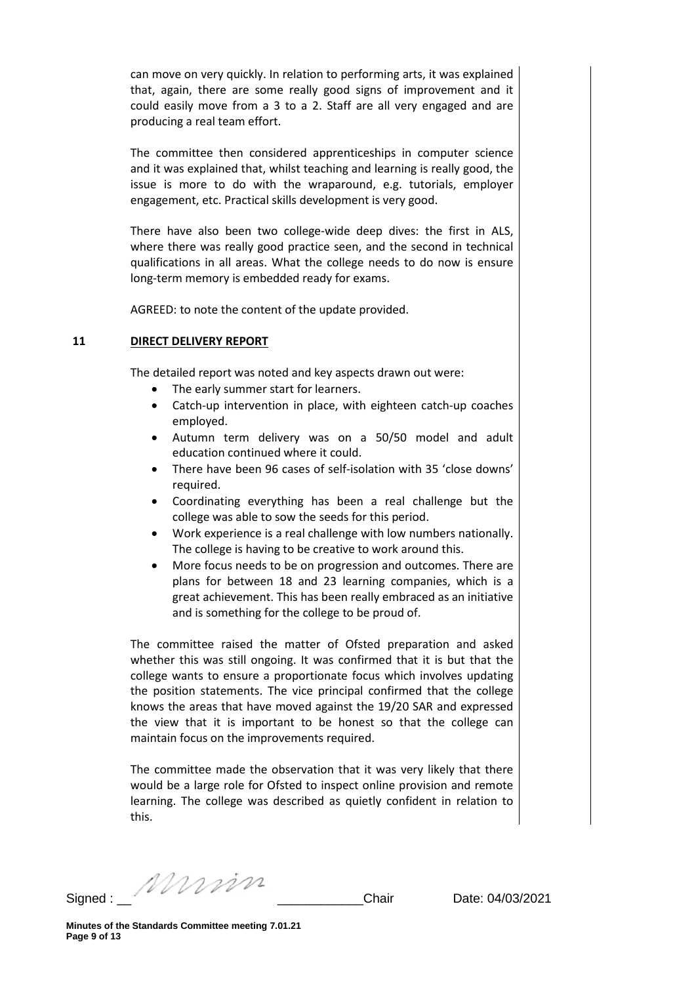can move on very quickly. In relation to performing arts, it was explained that, again, there are some really good signs of improvement and it could easily move from a 3 to a 2. Staff are all very engaged and are producing a real team effort.

The committee then considered apprenticeships in computer science and it was explained that, whilst teaching and learning is really good, the issue is more to do with the wraparound, e.g. tutorials, employer engagement, etc. Practical skills development is very good.

There have also been two college-wide deep dives: the first in ALS, where there was really good practice seen, and the second in technical qualifications in all areas. What the college needs to do now is ensure long-term memory is embedded ready for exams.

AGREED: to note the content of the update provided.

### **11 DIRECT DELIVERY REPORT**

The detailed report was noted and key aspects drawn out were:

- The early summer start for learners.
- Catch-up intervention in place, with eighteen catch-up coaches employed.
- Autumn term delivery was on a 50/50 model and adult education continued where it could.
- There have been 96 cases of self-isolation with 35 'close downs' required.
- Coordinating everything has been a real challenge but the college was able to sow the seeds for this period.
- Work experience is a real challenge with low numbers nationally. The college is having to be creative to work around this.
- More focus needs to be on progression and outcomes. There are plans for between 18 and 23 learning companies, which is a great achievement. This has been really embraced as an initiative and is something for the college to be proud of.

The committee raised the matter of Ofsted preparation and asked whether this was still ongoing. It was confirmed that it is but that the college wants to ensure a proportionate focus which involves updating the position statements. The vice principal confirmed that the college knows the areas that have moved against the 19/20 SAR and expressed the view that it is important to be honest so that the college can maintain focus on the improvements required.

The committee made the observation that it was very likely that there would be a large role for Ofsted to inspect online provision and remote learning. The college was described as quietly confident in relation to this.

Signed : \_\_ \_\_\_\_\_\_\_\_\_\_\_\_Chair Date: 04/03/2021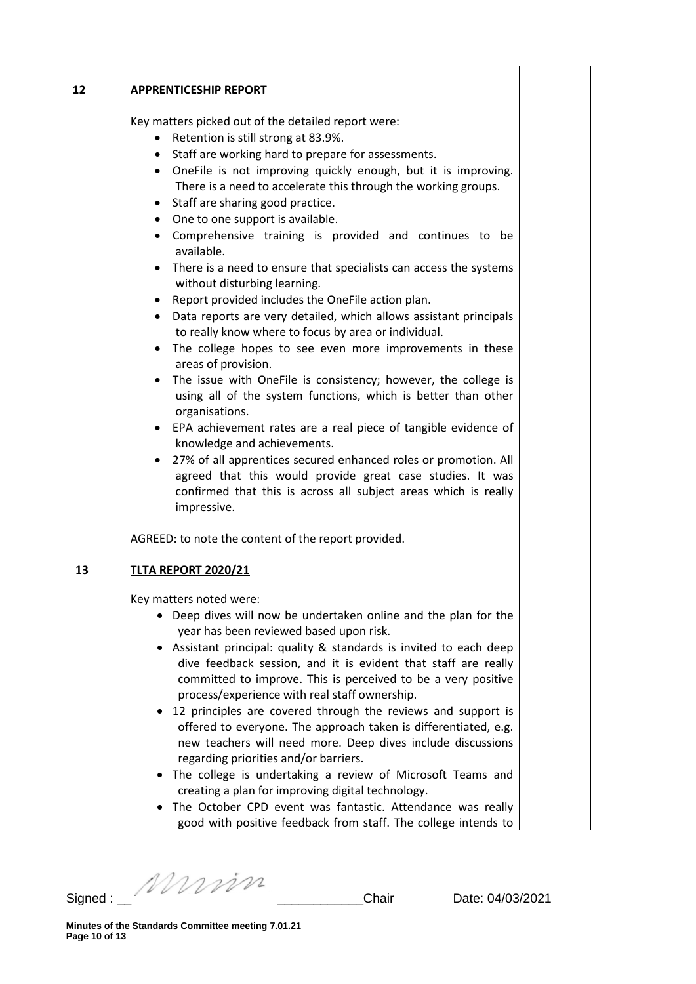#### **12 APPRENTICESHIP REPORT**

Key matters picked out of the detailed report were:

- Retention is still strong at 83.9%.
- Staff are working hard to prepare for assessments.
- OneFile is not improving quickly enough, but it is improving. There is a need to accelerate this through the working groups.
- Staff are sharing good practice.
- One to one support is available.
- Comprehensive training is provided and continues to be available.
- There is a need to ensure that specialists can access the systems without disturbing learning.
- Report provided includes the OneFile action plan.
- Data reports are very detailed, which allows assistant principals to really know where to focus by area or individual.
- The college hopes to see even more improvements in these areas of provision.
- The issue with OneFile is consistency; however, the college is using all of the system functions, which is better than other organisations.
- EPA achievement rates are a real piece of tangible evidence of knowledge and achievements.
- 27% of all apprentices secured enhanced roles or promotion. All agreed that this would provide great case studies. It was confirmed that this is across all subject areas which is really impressive.

AGREED: to note the content of the report provided.

### **13 TLTA REPORT 2020/21**

Key matters noted were:

- Deep dives will now be undertaken online and the plan for the year has been reviewed based upon risk.
- Assistant principal: quality & standards is invited to each deep dive feedback session, and it is evident that staff are really committed to improve. This is perceived to be a very positive process/experience with real staff ownership.
- 12 principles are covered through the reviews and support is offered to everyone. The approach taken is differentiated, e.g. new teachers will need more. Deep dives include discussions regarding priorities and/or barriers.
- The college is undertaking a review of Microsoft Teams and creating a plan for improving digital technology.
- The October CPD event was fantastic. Attendance was really good with positive feedback from staff. The college intends to

Signed : \_\_ \_\_\_\_\_\_\_\_\_\_\_\_Chair Date: 04/03/2021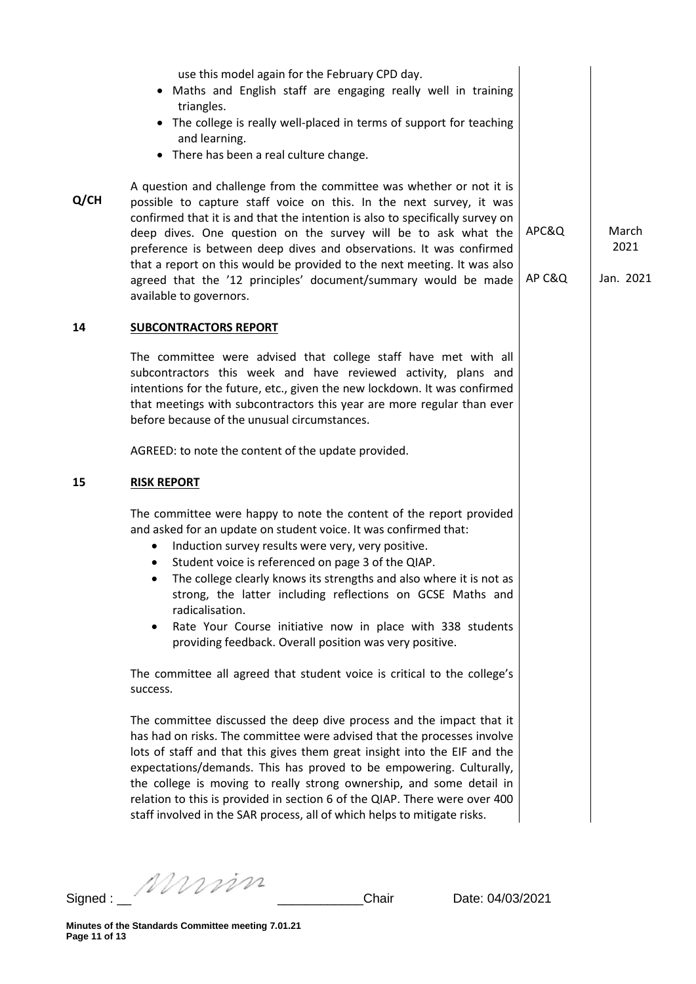| use this model again for the February CPD day.<br>• Maths and English staff are engaging really well in training<br>triangles.<br>• The college is really well-placed in terms of support for teaching<br>and learning.<br>• There has been a real culture change.                                                                                                                                                                                                                                                                                       |                 |                            |
|----------------------------------------------------------------------------------------------------------------------------------------------------------------------------------------------------------------------------------------------------------------------------------------------------------------------------------------------------------------------------------------------------------------------------------------------------------------------------------------------------------------------------------------------------------|-----------------|----------------------------|
| A question and challenge from the committee was whether or not it is<br>possible to capture staff voice on this. In the next survey, it was<br>confirmed that it is and that the intention is also to specifically survey on<br>deep dives. One question on the survey will be to ask what the<br>preference is between deep dives and observations. It was confirmed<br>that a report on this would be provided to the next meeting. It was also<br>agreed that the '12 principles' document/summary would be made<br>available to governors.           | APC&Q<br>AP C&Q | March<br>2021<br>Jan. 2021 |
| <b>SUBCONTRACTORS REPORT</b>                                                                                                                                                                                                                                                                                                                                                                                                                                                                                                                             |                 |                            |
| The committee were advised that college staff have met with all<br>subcontractors this week and have reviewed activity, plans and<br>intentions for the future, etc., given the new lockdown. It was confirmed<br>that meetings with subcontractors this year are more regular than ever<br>before because of the unusual circumstances.                                                                                                                                                                                                                 |                 |                            |
| AGREED: to note the content of the update provided.                                                                                                                                                                                                                                                                                                                                                                                                                                                                                                      |                 |                            |
| <b>RISK REPORT</b>                                                                                                                                                                                                                                                                                                                                                                                                                                                                                                                                       |                 |                            |
| The committee were happy to note the content of the report provided<br>and asked for an update on student voice. It was confirmed that:<br>Induction survey results were very, very positive.<br>٠<br>Student voice is referenced on page 3 of the QIAP.<br>٠<br>The college clearly knows its strengths and also where it is not as<br>٠<br>strong, the latter including reflections on GCSE Maths and<br>radicalisation.<br>Rate Your Course initiative now in place with 338 students<br>٠<br>providing feedback. Overall position was very positive. |                 |                            |
| The committee all agreed that student voice is critical to the college's<br>success.                                                                                                                                                                                                                                                                                                                                                                                                                                                                     |                 |                            |
| The committee discussed the deep dive process and the impact that it<br>has had on risks. The committee were advised that the processes involve<br>lots of staff and that this gives them great insight into the EIF and the<br>expectations/demands. This has proved to be empowering. Culturally,<br>the college is moving to really strong ownership, and some detail in<br>relation to this is provided in section 6 of the QIAP. There were over 400<br>staff involved in the SAR process, all of which helps to mitigate risks.                    |                 |                            |
|                                                                                                                                                                                                                                                                                                                                                                                                                                                                                                                                                          |                 |                            |

Signed : \_\_ \_\_\_\_\_\_\_\_\_\_\_\_Chair Date: 04/03/2021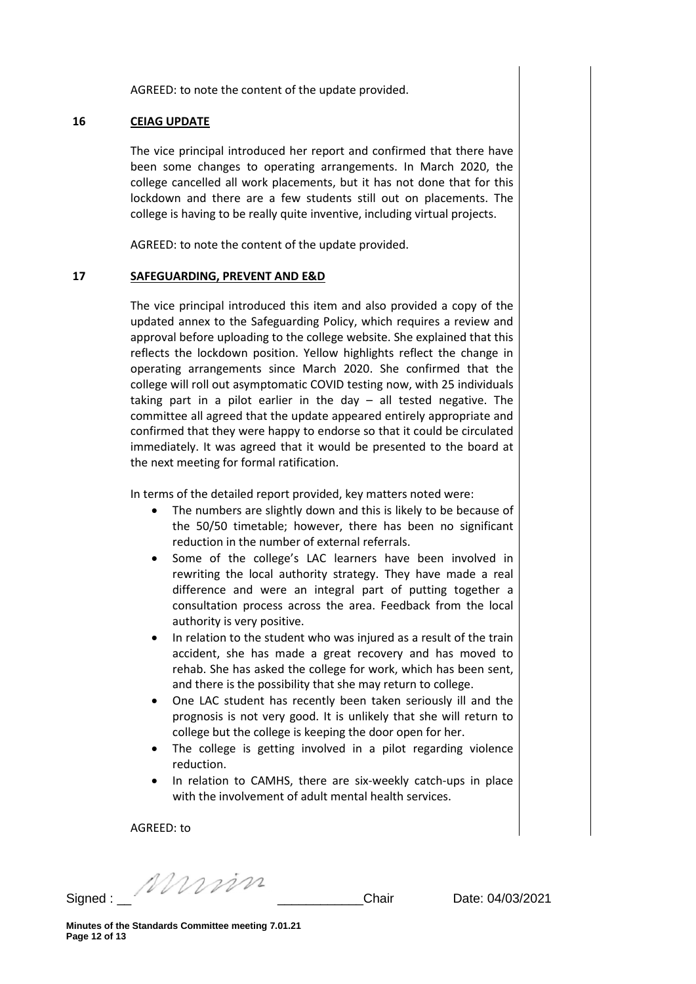AGREED: to note the content of the update provided.

#### **16 CEIAG UPDATE**

The vice principal introduced her report and confirmed that there have been some changes to operating arrangements. In March 2020, the college cancelled all work placements, but it has not done that for this lockdown and there are a few students still out on placements. The college is having to be really quite inventive, including virtual projects.

AGREED: to note the content of the update provided.

#### **17 SAFEGUARDING, PREVENT AND E&D**

The vice principal introduced this item and also provided a copy of the updated annex to the Safeguarding Policy, which requires a review and approval before uploading to the college website. She explained that this reflects the lockdown position. Yellow highlights reflect the change in operating arrangements since March 2020. She confirmed that the college will roll out asymptomatic COVID testing now, with 25 individuals taking part in a pilot earlier in the day – all tested negative. The committee all agreed that the update appeared entirely appropriate and confirmed that they were happy to endorse so that it could be circulated immediately. It was agreed that it would be presented to the board at the next meeting for formal ratification.

In terms of the detailed report provided, key matters noted were:

- The numbers are slightly down and this is likely to be because of the 50/50 timetable; however, there has been no significant reduction in the number of external referrals.
- Some of the college's LAC learners have been involved in rewriting the local authority strategy. They have made a real difference and were an integral part of putting together a consultation process across the area. Feedback from the local authority is very positive.
- In relation to the student who was injured as a result of the train accident, she has made a great recovery and has moved to rehab. She has asked the college for work, which has been sent, and there is the possibility that she may return to college.
- One LAC student has recently been taken seriously ill and the prognosis is not very good. It is unlikely that she will return to college but the college is keeping the door open for her.
- The college is getting involved in a pilot regarding violence reduction.
- In relation to CAMHS, there are six-weekly catch-ups in place with the involvement of adult mental health services.

AGREED: to

Signed : \_\_ \_\_\_\_\_\_\_\_\_\_\_\_Chair Date: 04/03/2021